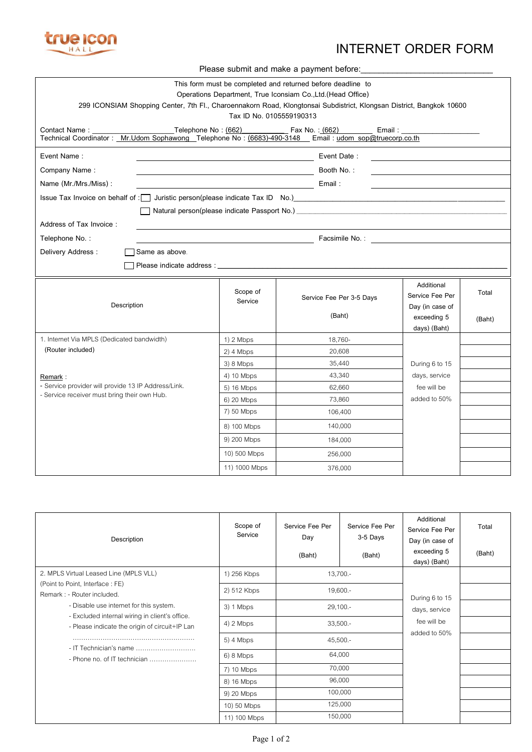

## **INTERNET ORDER FORM**

| Please submit and make a payment before:                                                                                                                                     |                                                                                                                                  |                          |                               |        |  |
|------------------------------------------------------------------------------------------------------------------------------------------------------------------------------|----------------------------------------------------------------------------------------------------------------------------------|--------------------------|-------------------------------|--------|--|
|                                                                                                                                                                              | This form must be completed and returned before deadline to<br>Operations Department, True Iconsiam Co., Ltd. (Head Office)      |                          |                               |        |  |
| 299 ICONSIAM Shopping Center, 7th Fl., Charoennakorn Road, Klongtonsai Subdistrict, Klongsan District, Bangkok 10600                                                         |                                                                                                                                  |                          |                               |        |  |
|                                                                                                                                                                              | Tax ID No. 0105559190313                                                                                                         |                          |                               |        |  |
|                                                                                                                                                                              |                                                                                                                                  |                          |                               |        |  |
| Event Name:                                                                                                                                                                  |                                                                                                                                  | Event Date:              |                               |        |  |
| Company Name:                                                                                                                                                                | Booth No.:<br><u> 1980 - Johann Barnett, fransk politiker (</u>                                                                  |                          |                               |        |  |
| Name (Mr./Mrs./Miss):                                                                                                                                                        | Email:<br><u> 1989 - Johann Stoff, deutscher Stoffen und der Stoffen und der Stoffen und der Stoffen und der Stoffen und der</u> |                          |                               |        |  |
| Issue Tax Invoice on behalf of : U Juristic person(please indicate Tax ID No.) [19] No.] [19] Issue Tax Invoice on behalf of : U Juristic person(please indicate Tax ID No.) |                                                                                                                                  |                          |                               |        |  |
|                                                                                                                                                                              |                                                                                                                                  |                          |                               |        |  |
| Address of Tax Invoice:                                                                                                                                                      |                                                                                                                                  |                          |                               |        |  |
| Telephone No.:                                                                                                                                                               |                                                                                                                                  |                          |                               |        |  |
| Delivery Address:<br>Same as above.                                                                                                                                          |                                                                                                                                  |                          |                               |        |  |
|                                                                                                                                                                              |                                                                                                                                  |                          |                               |        |  |
|                                                                                                                                                                              |                                                                                                                                  |                          |                               |        |  |
|                                                                                                                                                                              | Scope of                                                                                                                         |                          | Additional<br>Service Fee Per | Total  |  |
| Description                                                                                                                                                                  | Service                                                                                                                          | Service Fee Per 3-5 Days | Day (in case of               |        |  |
|                                                                                                                                                                              |                                                                                                                                  | (Baht)                   | exceeding 5                   | (Baht) |  |
|                                                                                                                                                                              |                                                                                                                                  |                          | days) (Baht)                  |        |  |
| 1. Internet Via MPLS (Dedicated bandwidth)                                                                                                                                   | 1) 2 Mbps                                                                                                                        | 18,760-                  |                               |        |  |
| (Router included)                                                                                                                                                            | $2)$ 4 Mbps                                                                                                                      | 20,608                   |                               |        |  |
|                                                                                                                                                                              | 3) 8 Mbps                                                                                                                        | 35,440                   | During 6 to 15                |        |  |
| Remark:                                                                                                                                                                      | 4) 10 Mbps                                                                                                                       | 43,340                   | days, service                 |        |  |
| - Service provider will provide 13 IP Address/Link.<br>- Service receiver must bring their own Hub.                                                                          | 5) 16 Mbps                                                                                                                       | 62,660                   | fee will be                   |        |  |
|                                                                                                                                                                              | 6) 20 Mbps                                                                                                                       | 73,860                   | added to 50%                  |        |  |
|                                                                                                                                                                              | 7) 50 Mbps                                                                                                                       | 106,400                  |                               |        |  |
|                                                                                                                                                                              | 8) 100 Mbps                                                                                                                      | 140,000                  |                               |        |  |
|                                                                                                                                                                              | 9) 200 Mbps                                                                                                                      | 184,000                  |                               |        |  |
|                                                                                                                                                                              | 10) 500 Mbps                                                                                                                     | 256,000                  |                               |        |  |
|                                                                                                                                                                              |                                                                                                                                  |                          |                               |        |  |

| Description                                                                                                                                                                                                                                                                                                      | Scope of<br>Service | Service Fee Per<br>Day<br>(Baht) | Service Fee Per<br>3-5 Days<br>(Baht) | Additional<br>Service Fee Per<br>Day (in case of<br>exceeding 5<br>days) (Baht) | Total<br>(Baht) |
|------------------------------------------------------------------------------------------------------------------------------------------------------------------------------------------------------------------------------------------------------------------------------------------------------------------|---------------------|----------------------------------|---------------------------------------|---------------------------------------------------------------------------------|-----------------|
| 2. MPLS Virtual Leased Line (MPLS VLL)<br>(Point to Point, Interface: FE)<br>Remark: - Router included.<br>- Disable use internet for this system.<br>- Excluded internal wiring in client's office.<br>- Please indicate the origin of circuit+IP Lan<br>- IT Technician's name<br>- Phone no. of IT technician | 1) 256 Kbps         | $13,700. -$                      |                                       |                                                                                 |                 |
|                                                                                                                                                                                                                                                                                                                  | 2) 512 Kbps         | $19,600. -$                      |                                       | During 6 to 15                                                                  |                 |
|                                                                                                                                                                                                                                                                                                                  | 3) 1 Mbps           | $29,100. -$                      |                                       | days, service<br>fee will be<br>added to 50%                                    |                 |
|                                                                                                                                                                                                                                                                                                                  | $4)$ 2 Mbps         | $33,500. -$                      |                                       |                                                                                 |                 |
|                                                                                                                                                                                                                                                                                                                  | $5)$ 4 Mbps         | $45,500. -$                      |                                       |                                                                                 |                 |
|                                                                                                                                                                                                                                                                                                                  | 6) 8 Mbps           | 64,000                           |                                       |                                                                                 |                 |
|                                                                                                                                                                                                                                                                                                                  | 7) 10 Mbps          | 70,000                           |                                       |                                                                                 |                 |
|                                                                                                                                                                                                                                                                                                                  | 8) 16 Mbps          | 96,000                           |                                       |                                                                                 |                 |
|                                                                                                                                                                                                                                                                                                                  | 9) 20 Mbps          | 100,000<br>125,000               |                                       |                                                                                 |                 |
|                                                                                                                                                                                                                                                                                                                  | 10) 50 Mbps         |                                  |                                       |                                                                                 |                 |
|                                                                                                                                                                                                                                                                                                                  | 11) 100 Mbps        | 150,000                          |                                       |                                                                                 |                 |